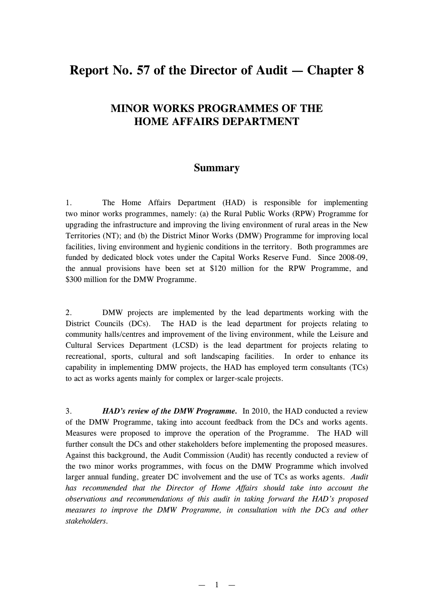# **Report No. 57 of the Director of Audit — Chapter 8**

## **MINOR WORKS PROGRAMMES OF THE HOME AFFAIRS DEPARTMENT**

### **Summary**

1. The Home Affairs Department (HAD) is responsible for implementing two minor works programmes, namely: (a) the Rural Public Works (RPW) Programme for upgrading the infrastructure and improving the living environment of rural areas in the New Territories (NT); and (b) the District Minor Works (DMW) Programme for improving local facilities, living environment and hygienic conditions in the territory. Both programmes are funded by dedicated block votes under the Capital Works Reserve Fund. Since 2008-09, the annual provisions have been set at \$120 million for the RPW Programme, and \$300 million for the DMW Programme.

2. DMW projects are implemented by the lead departments working with the District Councils (DCs). The HAD is the lead department for projects relating to community halls/centres and improvement of the living environment, while the Leisure and Cultural Services Department (LCSD) is the lead department for projects relating to recreational, sports, cultural and soft landscaping facilities. In order to enhance its capability in implementing DMW projects, the HAD has employed term consultants (TCs) to act as works agents mainly for complex or larger-scale projects.

3. *HAD's review of the DMW Programme.* In 2010, the HAD conducted a review of the DMW Programme, taking into account feedback from the DCs and works agents. Measures were proposed to improve the operation of the Programme. The HAD will further consult the DCs and other stakeholders before implementing the proposed measures. Against this background, the Audit Commission (Audit) has recently conducted a review of the two minor works programmes, with focus on the DMW Programme which involved larger annual funding, greater DC involvement and the use of TCs as works agents. *Audit has recommended that the Director of Home Affairs should take into account the observations and recommendations of this audit in taking forward the HAD's proposed measures to improve the DMW Programme, in consultation with the DCs and other stakeholders.*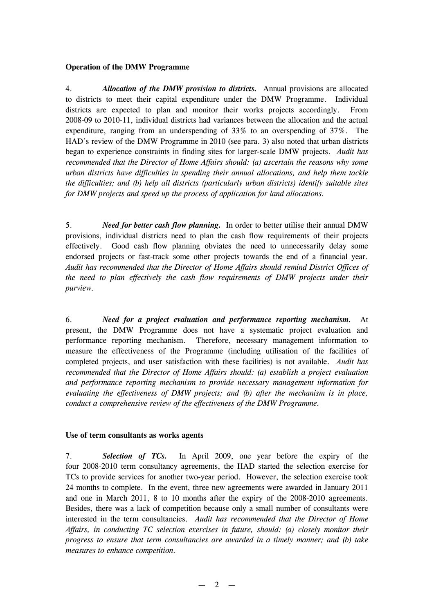#### **Operation of the DMW Programme**

4. *Allocation of the DMW provision to districts.* Annual provisions are allocated to districts to meet their capital expenditure under the DMW Programme. Individual districts are expected to plan and monitor their works projects accordingly. From 2008-09 to 2010-11, individual districts had variances between the allocation and the actual expenditure, ranging from an underspending of 33% to an overspending of 37%. The HAD's review of the DMW Programme in 2010 (see para. 3) also noted that urban districts began to experience constraints in finding sites for larger-scale DMW projects. *Audit has recommended that the Director of Home Affairs should: (a) ascertain the reasons why some urban districts have difficulties in spending their annual allocations, and help them tackle the difficulties; and (b) help all districts (particularly urban districts) identify suitable sites for DMW projects and speed up the process of application for land allocations.*

5. *Need for better cash flow planning.* In order to better utilise their annual DMW provisions, individual districts need to plan the cash flow requirements of their projects effectively. Good cash flow planning obviates the need to unnecessarily delay some endorsed projects or fast-track some other projects towards the end of a financial year. *Audit has recommended that the Director of Home Affairs should remind District Offices of the need to plan effectively the cash flow requirements of DMW projects under their purview.*

6. *Need for a project evaluation and performance reporting mechanism.* At present, the DMW Programme does not have a systematic project evaluation and performance reporting mechanism. Therefore, necessary management information to measure the effectiveness of the Programme (including utilisation of the facilities of completed projects, and user satisfaction with these facilities) is not available. *Audit has recommended that the Director of Home Affairs should: (a) establish a project evaluation and performance reporting mechanism to provide necessary management information for evaluating the effectiveness of DMW projects; and (b) after the mechanism is in place, conduct a comprehensive review of the effectiveness of the DMW Programme.*

#### **Use of term consultants as works agents**

7. *Selection of TCs.* In April 2009, one year before the expiry of the four 2008-2010 term consultancy agreements, the HAD started the selection exercise for TCs to provide services for another two-year period. However, the selection exercise took 24 months to complete. In the event, three new agreements were awarded in January 2011 and one in March 2011, 8 to 10 months after the expiry of the 2008-2010 agreements. Besides, there was a lack of competition because only a small number of consultants were interested in the term consultancies. *Audit has recommended that the Director of Home Affairs, in conducting TC selection exercises in future, should: (a) closely monitor their progress to ensure that term consultancies are awarded in a timely manner; and (b) take measures to enhance competition.*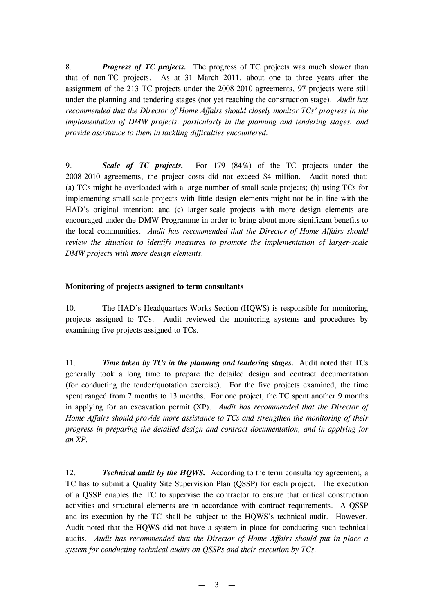8. *Progress of TC projects.* The progress of TC projects was much slower than that of non-TC projects. As at 31 March 2011, about one to three years after the assignment of the 213 TC projects under the 2008-2010 agreements, 97 projects were still under the planning and tendering stages (not yet reaching the construction stage). *Audit has recommended that the Director of Home Affairs should closely monitor TCs' progress in the implementation of DMW projects, particularly in the planning and tendering stages, and provide assistance to them in tackling difficulties encountered.*

9. *Scale of TC projects.* For 179 (84%) of the TC projects under the 2008-2010 agreements, the project costs did not exceed \$4 million. Audit noted that: (a) TCs might be overloaded with a large number of small-scale projects; (b) using TCs for implementing small-scale projects with little design elements might not be in line with the HAD's original intention; and (c) larger-scale projects with more design elements are encouraged under the DMW Programme in order to bring about more significant benefits to the local communities. *Audit has recommended that the Director of Home Affairs should review the situation to identify measures to promote the implementation of larger-scale DMW projects with more design elements.*

#### **Monitoring of projects assigned to term consultants**

10. The HAD's Headquarters Works Section (HQWS) is responsible for monitoring projects assigned to TCs. Audit reviewed the monitoring systems and procedures by examining five projects assigned to TCs.

11. *Time taken by TCs in the planning and tendering stages.* Audit noted that TCs generally took a long time to prepare the detailed design and contract documentation (for conducting the tender/quotation exercise). For the five projects examined, the time spent ranged from 7 months to 13 months. For one project, the TC spent another 9 months in applying for an excavation permit (XP). *Audit has recommended that the Director of Home Affairs should provide more assistance to TCs and strengthen the monitoring of their progress in preparing the detailed design and contract documentation, and in applying for an XP.*

12. *Technical audit by the HQWS.* According to the term consultancy agreement, a TC has to submit a Quality Site Supervision Plan (QSSP) for each project. The execution of a QSSP enables the TC to supervise the contractor to ensure that critical construction activities and structural elements are in accordance with contract requirements. A QSSP and its execution by the TC shall be subject to the HQWS's technical audit. However, Audit noted that the HQWS did not have a system in place for conducting such technical audits. *Audit has recommended that the Director of Home Affairs should put in place a system for conducting technical audits on QSSPs and their execution by TCs.*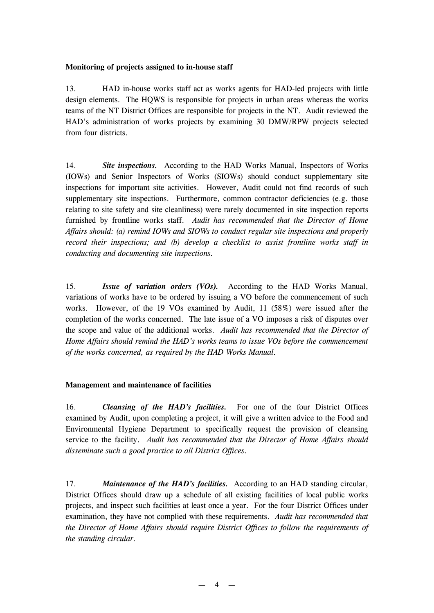#### **Monitoring of projects assigned to in-house staff**

13. HAD in-house works staff act as works agents for HAD-led projects with little design elements. The HQWS is responsible for projects in urban areas whereas the works teams of the NT District Offices are responsible for projects in the NT. Audit reviewed the HAD's administration of works projects by examining 30 DMW/RPW projects selected from four districts.

14. *Site inspections.* According to the HAD Works Manual, Inspectors of Works (IOWs) and Senior Inspectors of Works (SIOWs) should conduct supplementary site inspections for important site activities. However, Audit could not find records of such supplementary site inspections. Furthermore, common contractor deficiencies (e.g. those relating to site safety and site cleanliness) were rarely documented in site inspection reports furnished by frontline works staff. *Audit has recommended that the Director of Home Affairs should: (a) remind IOWs and SIOWs to conduct regular site inspections and properly record their inspections; and (b) develop a checklist to assist frontline works staff in conducting and documenting site inspections.*

15. *Issue of variation orders (VOs).* According to the HAD Works Manual, variations of works have to be ordered by issuing a VO before the commencement of such works. However, of the 19 VOs examined by Audit, 11 (58%) were issued after the completion of the works concerned. The late issue of a VO imposes a risk of disputes over the scope and value of the additional works. *Audit has recommended that the Director of Home Affairs should remind the HAD's works teams to issue VOs before the commencement of the works concerned, as required by the HAD Works Manual.*

### **Management and maintenance of facilities**

16. *Cleansing of the HAD's facilities.* For one of the four District Offices examined by Audit, upon completing a project, it will give a written advice to the Food and Environmental Hygiene Department to specifically request the provision of cleansing service to the facility. *Audit has recommended that the Director of Home Affairs should disseminate such a good practice to all District Offices.*

17. *Maintenance of the HAD's facilities.* According to an HAD standing circular, District Offices should draw up a schedule of all existing facilities of local public works projects, and inspect such facilities at least once a year. For the four District Offices under examination, they have not complied with these requirements. *Audit has recommended that the Director of Home Affairs should require District Offices to follow the requirements of the standing circular.*